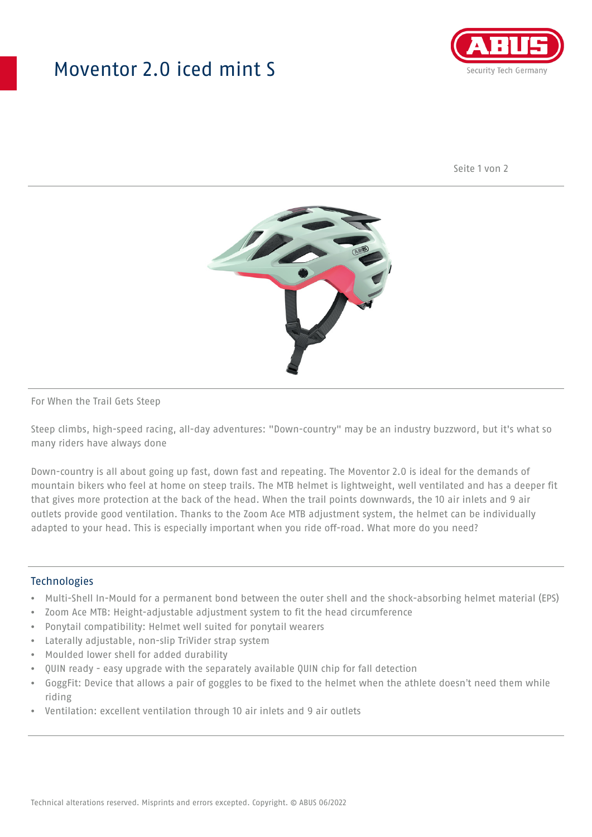## Moventor 2.0 iced mint S



Seite 1 von 2



#### For When the Trail Gets Steep

Steep climbs, high-speed racing, all-day adventures: "Down-country" may be an industry buzzword, but it's what so many riders have always done

Down-country is all about going up fast, down fast and repeating. The Moventor 2.0 is ideal for the demands of mountain bikers who feel at home on steep trails. The MTB helmet is lightweight, well ventilated and has a deeper fit that gives more protection at the back of the head. When the trail points downwards, the 10 air inlets and 9 air outlets provide good ventilation. Thanks to the Zoom Ace MTB adjustment system, the helmet can be individually adapted to your head. This is especially important when you ride off-road. What more do you need?

#### **Technologies**

- Multi-Shell In-Mould for a permanent bond between the outer shell and the shock-absorbing helmet material (EPS)
- Zoom Ace MTB: Height-adjustable adjustment system to fit the head circumference
- Ponytail compatibility: Helmet well suited for ponytail wearers
- Laterally adjustable, non-slip TriVider strap system
- Moulded lower shell for added durability
- QUIN ready easy upgrade with the separately available QUIN chip for fall detection
- GoggFit: Device that allows a pair of goggles to be fixed to the helmet when the athlete doesn't need them while riding
- Ventilation: excellent ventilation through 10 air inlets and 9 air outlets